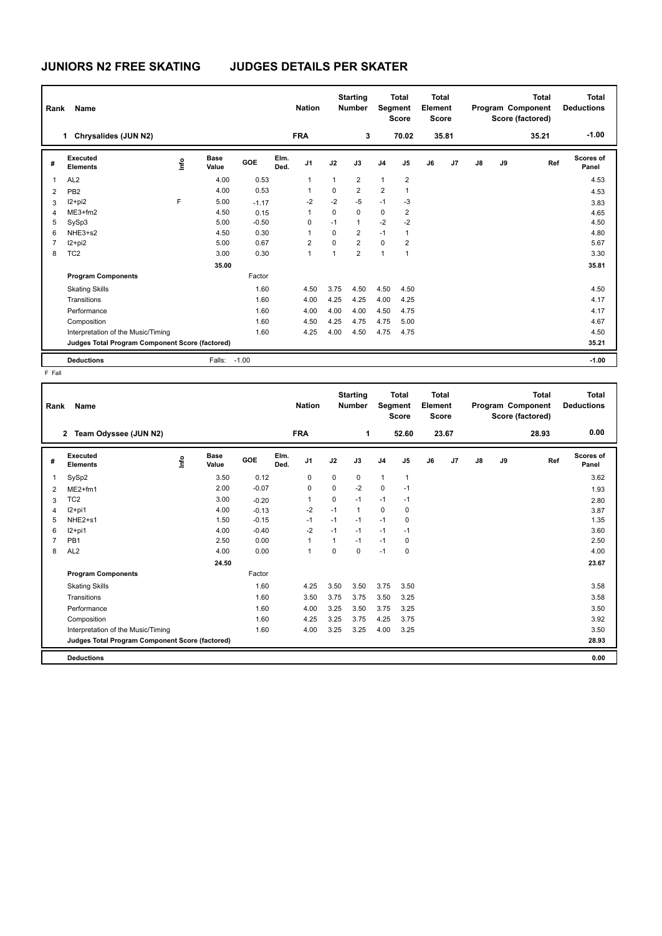## **JUNIORS N2 FREE SKATING JUDGES DETAILS PER SKATER**

| Rank                                            | Name                               |    |                      |            |              | <b>Nation</b>  |             | <b>Starting</b><br><b>Number</b> |                | <b>Total</b><br>Segment<br><b>Score</b> | <b>Total</b><br>Element<br><b>Score</b> |                |       |    | <b>Total</b><br>Program Component<br>Score (factored) | Total<br><b>Deductions</b> |
|-------------------------------------------------|------------------------------------|----|----------------------|------------|--------------|----------------|-------------|----------------------------------|----------------|-----------------------------------------|-----------------------------------------|----------------|-------|----|-------------------------------------------------------|----------------------------|
|                                                 | Chrysalides (JUN N2)<br>1.         |    |                      |            |              | <b>FRA</b>     |             | 3                                |                | 70.02                                   |                                         | 35.81          |       |    | 35.21                                                 | $-1.00$                    |
| #                                               | <b>Executed</b><br><b>Elements</b> | ۴ů | <b>Base</b><br>Value | <b>GOE</b> | Elm.<br>Ded. | J <sub>1</sub> | J2          | J3                               | J <sub>4</sub> | J5                                      | J6                                      | J <sub>7</sub> | J8    | J9 | Ref                                                   | Scores of<br>Panel         |
| 1                                               | AL <sub>2</sub>                    |    | 4.00                 | 0.53       |              | 1              | 1           | $\overline{2}$                   | 1              | $\overline{2}$                          |                                         |                |       |    |                                                       | 4.53                       |
| 2                                               | PB <sub>2</sub>                    |    | 4.00                 | 0.53       |              |                | 0           | $\overline{2}$                   | $\overline{2}$ | $\mathbf{1}$                            |                                         |                |       |    |                                                       | 4.53                       |
| 3                                               | $12+pi2$                           | F  | 5.00                 | $-1.17$    |              | $-2$           | $-2$        | $-5$                             | $-1$           | $-3$                                    |                                         |                |       |    |                                                       | 3.83                       |
| $\overline{4}$                                  | $ME3+fm2$                          |    | 4.50                 | 0.15       |              | 1              | $\Omega$    | $\mathbf 0$                      | $\mathbf 0$    | 2                                       |                                         |                |       |    |                                                       | 4.65                       |
| 5                                               | SySp3                              |    | 5.00                 | $-0.50$    |              | 0              | $-1$        | $\mathbf{1}$                     | $-2$           | $-2$                                    |                                         |                |       |    |                                                       | 4.50                       |
| 6                                               | NHE3+s2                            |    | 4.50                 | 0.30       |              |                | $\Omega$    | $\overline{2}$                   | $-1$           | 1                                       |                                         |                |       |    |                                                       | 4.80                       |
| $\overline{7}$                                  | I2+pi2                             |    | 5.00                 | 0.67       |              | $\overline{2}$ | $\Omega$    | $\overline{2}$                   | $\mathbf 0$    | $\overline{2}$                          |                                         |                |       |    |                                                       | 5.67                       |
| 8                                               | TC <sub>2</sub>                    |    | 3.00                 | 0.30       |              | 1              | $\mathbf 1$ | $\overline{2}$                   | $\overline{1}$ | 1                                       |                                         |                |       |    |                                                       | 3.30                       |
|                                                 |                                    |    | 35.00                |            |              |                |             |                                  |                |                                         |                                         |                |       |    |                                                       | 35.81                      |
|                                                 | <b>Program Components</b>          |    |                      | Factor     |              |                |             |                                  |                |                                         |                                         |                |       |    |                                                       |                            |
|                                                 | <b>Skating Skills</b>              |    |                      | 1.60       |              | 4.50           | 3.75        | 4.50                             | 4.50           | 4.50                                    |                                         |                |       |    |                                                       | 4.50                       |
|                                                 | Transitions                        |    |                      | 1.60       |              | 4.00           | 4.25        | 4.25                             | 4.00           | 4.25                                    |                                         |                |       |    |                                                       | 4.17                       |
|                                                 | Performance                        |    |                      | 1.60       |              | 4.00           | 4.00        | 4.00                             | 4.50           | 4.75                                    |                                         |                |       |    |                                                       | 4.17                       |
|                                                 | Composition                        |    |                      | 1.60       |              | 4.50           | 4.25        | 4.75                             | 4.75           | 5.00                                    |                                         |                |       |    |                                                       | 4.67                       |
|                                                 | Interpretation of the Music/Timing |    |                      | 1.60       |              | 4.25           | 4.00        | 4.50                             | 4.75           | 4.75                                    |                                         |                |       |    |                                                       | 4.50                       |
| Judges Total Program Component Score (factored) |                                    |    |                      |            |              |                |             |                                  |                |                                         |                                         |                | 35.21 |    |                                                       |                            |
|                                                 | <b>Deductions</b>                  |    | Falls:               | $-1.00$    |              |                |             |                                  |                |                                         |                                         |                |       |    |                                                       | $-1.00$                    |

F Fall

| Rank | Name                                            |    |                      |         |              | <b>Nation</b>  |             | <b>Starting</b><br><b>Number</b> | Segment        | <b>Total</b><br><b>Score</b> | <b>Total</b><br>Element<br><b>Score</b> |       |    |    | <b>Total</b><br>Program Component<br>Score (factored) | <b>Total</b><br><b>Deductions</b> |
|------|-------------------------------------------------|----|----------------------|---------|--------------|----------------|-------------|----------------------------------|----------------|------------------------------|-----------------------------------------|-------|----|----|-------------------------------------------------------|-----------------------------------|
|      | Team Odyssee (JUN N2)<br>$\mathbf{2}$           |    |                      |         |              | <b>FRA</b>     |             | 1                                |                | 52.60                        |                                         | 23.67 |    |    | 28.93                                                 | 0.00                              |
| #    | Executed<br><b>Elements</b>                     | ۴ů | <b>Base</b><br>Value | GOE     | Elm.<br>Ded. | J <sub>1</sub> | J2          | J3                               | J <sub>4</sub> | J <sub>5</sub>               | J6                                      | J7    | J8 | J9 | Ref                                                   | Scores of<br>Panel                |
| 1    | SySp2                                           |    | 3.50                 | 0.12    |              | 0              | 0           | 0                                | 1              | $\mathbf{1}$                 |                                         |       |    |    |                                                       | 3.62                              |
| 2    | $ME2+fm1$                                       |    | 2.00                 | $-0.07$ |              | 0              | $\mathbf 0$ | $-2$                             | $\mathbf 0$    | $-1$                         |                                         |       |    |    |                                                       | 1.93                              |
| 3    | TC <sub>2</sub>                                 |    | 3.00                 | $-0.20$ |              | 1              | $\mathbf 0$ | $-1$                             | $-1$           | $-1$                         |                                         |       |    |    |                                                       | 2.80                              |
| 4    | $12+pi1$                                        |    | 4.00                 | $-0.13$ |              | $-2$           | $-1$        | $\mathbf{1}$                     | $\mathbf 0$    | 0                            |                                         |       |    |    |                                                       | 3.87                              |
| 5    | $NHE2 + s1$                                     |    | 1.50                 | $-0.15$ |              | $-1$           | $-1$        | $-1$                             | $-1$           | 0                            |                                         |       |    |    |                                                       | 1.35                              |
| 6    | $12+pi1$                                        |    | 4.00                 | $-0.40$ |              | $-2$           | $-1$        | $-1$                             | $-1$           | $-1$                         |                                         |       |    |    |                                                       | 3.60                              |
| 7    | PB <sub>1</sub>                                 |    | 2.50                 | 0.00    |              | $\overline{1}$ | 1           | $-1$                             | $-1$           | 0                            |                                         |       |    |    |                                                       | 2.50                              |
| 8    | AL <sub>2</sub>                                 |    | 4.00                 | 0.00    |              | $\mathbf{1}$   | $\Omega$    | $\Omega$                         | $-1$           | 0                            |                                         |       |    |    |                                                       | 4.00                              |
|      |                                                 |    | 24.50                |         |              |                |             |                                  |                |                              |                                         |       |    |    |                                                       | 23.67                             |
|      | <b>Program Components</b>                       |    |                      | Factor  |              |                |             |                                  |                |                              |                                         |       |    |    |                                                       |                                   |
|      | <b>Skating Skills</b>                           |    |                      | 1.60    |              | 4.25           | 3.50        | 3.50                             | 3.75           | 3.50                         |                                         |       |    |    |                                                       | 3.58                              |
|      | Transitions                                     |    |                      | 1.60    |              | 3.50           | 3.75        | 3.75                             | 3.50           | 3.25                         |                                         |       |    |    |                                                       | 3.58                              |
|      | Performance                                     |    |                      | 1.60    |              | 4.00           | 3.25        | 3.50                             | 3.75           | 3.25                         |                                         |       |    |    |                                                       | 3.50                              |
|      | Composition                                     |    |                      | 1.60    |              | 4.25           | 3.25        | 3.75                             | 4.25           | 3.75                         |                                         |       |    |    |                                                       | 3.92                              |
|      | Interpretation of the Music/Timing              |    |                      | 1.60    |              | 4.00           | 3.25        | 3.25                             | 4.00           | 3.25                         |                                         |       |    |    |                                                       | 3.50                              |
|      | Judges Total Program Component Score (factored) |    |                      |         |              |                |             |                                  |                |                              |                                         |       |    |    |                                                       | 28.93                             |
|      | <b>Deductions</b>                               |    |                      |         |              |                |             |                                  |                |                              |                                         |       |    |    |                                                       | 0.00                              |
|      |                                                 |    |                      |         |              |                |             |                                  |                |                              |                                         |       |    |    |                                                       |                                   |